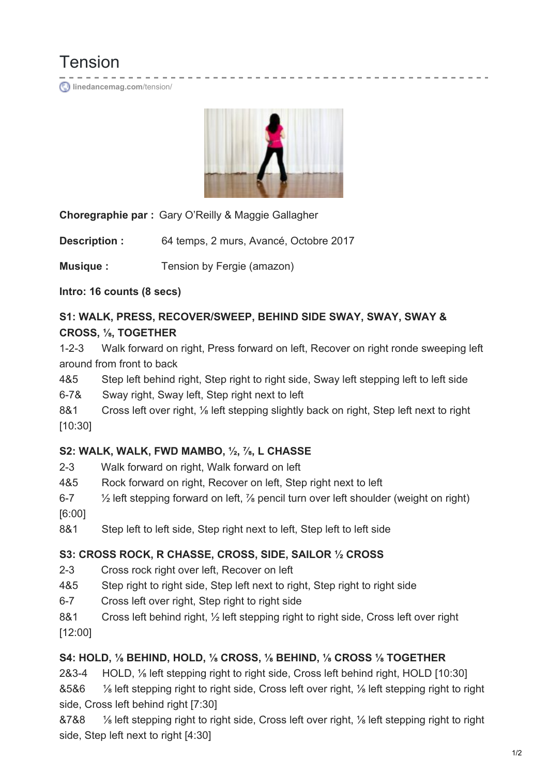Tension **[linedancemag.com](https://www.linedancemag.com/tension/)**/tension/



**Choregraphie par :** Gary O'Reilly & Maggie Gallagher

**Description :** 64 temps, 2 murs, Avancé, Octobre 2017

**Musique :** Tension by Fergie (amazon)

**Intro: 16 counts (8 secs)**

#### **S1: WALK, PRESS, RECOVER/SWEEP, BEHIND SIDE SWAY, SWAY, SWAY & CROSS, ⅛, TOGETHER**

1-2-3 Walk forward on right, Press forward on left, Recover on right ronde sweeping left around from front to back

- 4&5 Step left behind right, Step right to right side, Sway left stepping left to left side
- 6-7& Sway right, Sway left, Step right next to left
- 8&1 Cross left over right, <sup>1/8</sup> left stepping slightly back on right, Step left next to right [10:30]

#### **S2: WALK, WALK, FWD MAMBO, ½, ⅞, L CHASSE**

- 2-3 Walk forward on right, Walk forward on left
- 4&5 Rock forward on right, Recover on left, Step right next to left
- 6-7 ½ left stepping forward on left, ⅞ pencil turn over left shoulder (weight on right) [6:00]
- 8&1 Step left to left side, Step right next to left, Step left to left side

## **S3: CROSS ROCK, R CHASSE, CROSS, SIDE, SAILOR ½ CROSS**

- 2-3 Cross rock right over left, Recover on left
- 4&5 Step right to right side, Step left next to right, Step right to right side
- 6-7 Cross left over right, Step right to right side
- 8&1 Cross left behind right, 1/2 left stepping right to right side, Cross left over right [12:00]

## **S4: HOLD, ⅛ BEHIND, HOLD, ⅛ CROSS, ⅛ BEHIND, ⅛ CROSS ⅛ TOGETHER**

2&3-4 HOLD, ⅛ left stepping right to right side, Cross left behind right, HOLD [10:30]

&5&6 ⅛ left stepping right to right side, Cross left over right, ⅛ left stepping right to right side, Cross left behind right [7:30]

&7&8 ⅛ left stepping right to right side, Cross left over right, ⅛ left stepping right to right side, Step left next to right [4:30]